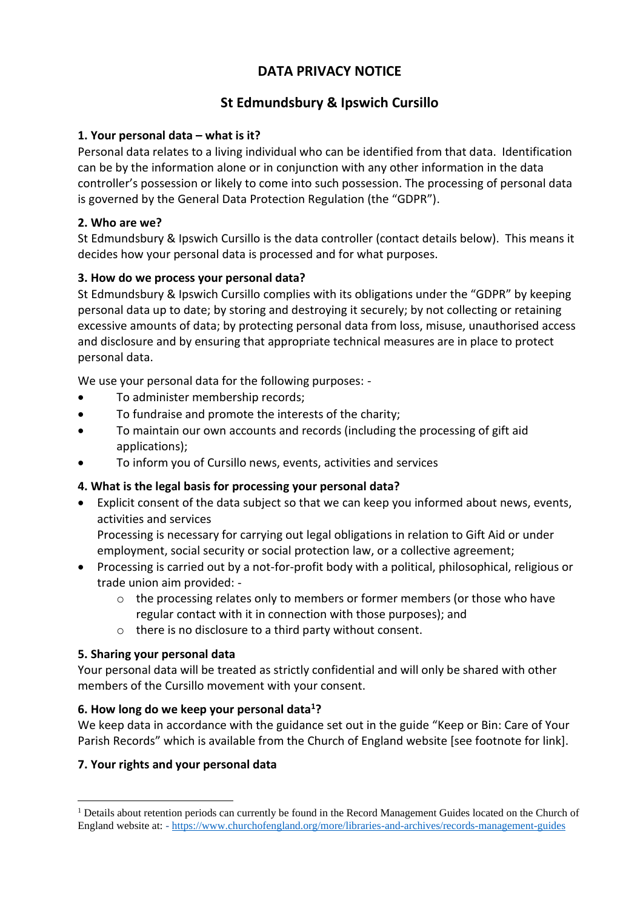# **DATA PRIVACY NOTICE**

# **St Edmundsbury & Ipswich Cursillo**

## **1. Your personal data – what is it?**

Personal data relates to a living individual who can be identified from that data. Identification can be by the information alone or in conjunction with any other information in the data controller's possession or likely to come into such possession. The processing of personal data is governed by the General Data Protection Regulation (the "GDPR").

### **2. Who are we?**

St Edmundsbury & Ipswich Cursillo is the data controller (contact details below). This means it decides how your personal data is processed and for what purposes.

## **3. How do we process your personal data?**

St Edmundsbury & Ipswich Cursillo complies with its obligations under the "GDPR" by keeping personal data up to date; by storing and destroying it securely; by not collecting or retaining excessive amounts of data; by protecting personal data from loss, misuse, unauthorised access and disclosure and by ensuring that appropriate technical measures are in place to protect personal data.

We use your personal data for the following purposes: -

- To administer membership records;
- To fundraise and promote the interests of the charity;
- To maintain our own accounts and records (including the processing of gift aid applications);
- To inform you of Cursillo news, events, activities and services

# **4. What is the legal basis for processing your personal data?**

• Explicit consent of the data subject so that we can keep you informed about news, events, activities and services

Processing is necessary for carrying out legal obligations in relation to Gift Aid or under employment, social security or social protection law, or a collective agreement;

- Processing is carried out by a not-for-profit body with a political, philosophical, religious or trade union aim provided:
	- o the processing relates only to members or former members (or those who have regular contact with it in connection with those purposes); and
	- o there is no disclosure to a third party without consent.

# **5. Sharing your personal data**

Your personal data will be treated as strictly confidential and will only be shared with other members of the Cursillo movement with your consent.

### **6. How long do we keep your personal data<sup>1</sup>?**

We keep data in accordance with the guidance set out in the guide "Keep or Bin: Care of Your Parish Records" which is available from the Church of England website [see footnote for link].

### **7. Your rights and your personal data**

<sup>&</sup>lt;sup>1</sup> Details about retention periods can currently be found in the Record Management Guides located on the Church of England website at: - <https://www.churchofengland.org/more/libraries-and-archives/records-management-guides>